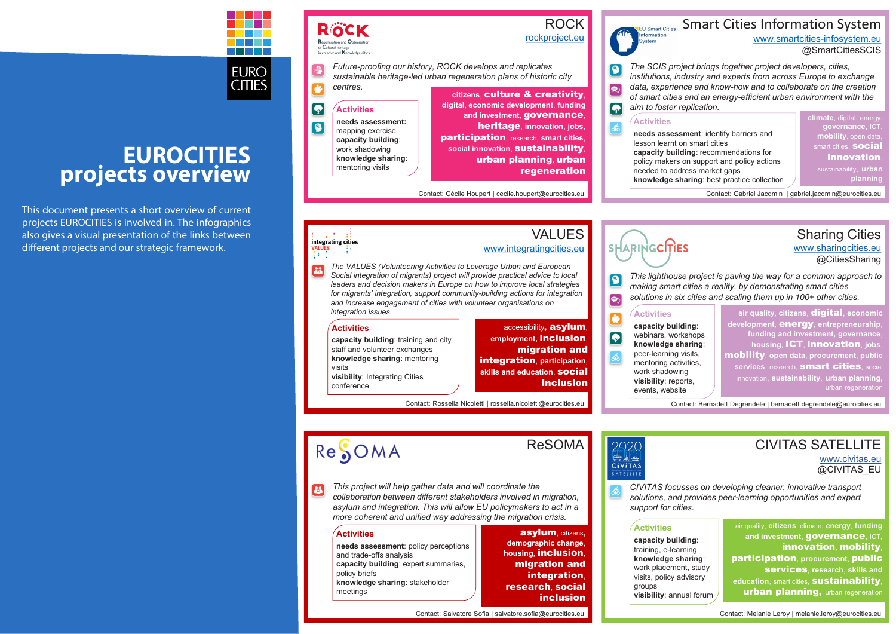# **EURO**

**CITIES** 

# **ROCK**

# **EUROCITIES projects overview**

This document presents a short overview of current projects EUROCITIES is involved in. The infographics also gives a visual presentation of the links between different projects and our strategic framework.

# **SUL Smart Cities** Smart Cities Information System

## VALUES www.integratingcities.eu

# $\mathbf G$  $\Omega$  $\delta$ inclusion

*The VALUES (Volunteering Activities to Leverage Urban and European Social integration of migrants) project will provide practical advice to local leaders and decision makers in Europe on how to improve local strategies for migrants' integration, support community-building actions for integration and increase engagement of cities with volunteer organisations on integration issues.*

Contact: Rossella Nicoletti | rossella.nicoletti@eurocities.eu

#### $\left| \right. \right. \bullet$ **Activities**

RÖCK

Regeneration and Optimisa<br>of Cultural heritage<br>in creative and Knowledge c

 $\bullet$ 

accessibility, asylum, **employment,** inclusion, migration and integration, **participation**, **skills and education**, social

#### **Activities**

integrating cities

28

**capacity building**: training and city staff and volunteer exchanges **knowledge sharing**: mentoring visits **visibility**: Integrating Cities conference

 $\bigcirc$  $\bigodot$ *aim to foster replication.*

 $\delta$ 

 $\bullet$ 

 $\bigcirc$ 

rockproject.eu

*Future-proofing our history, ROCK develops and replicates sustainable heritage-led urban regeneration plans of historic city centres.*

Contact: Cécile Houpert | cecile.houpert@eurocities.eu

**citizens**, culture & creativity, **digital**, **economic development**, **funding**  and investment. **governance**, heritage, **innovation**, **jobs**, participation, research, **smart cities**, **social innovation**, sustainability, urban planning**,** urban regeneration



**needs assessment:**  mapping exercise **capacity building**: work shadowing **knowledge sharing**: mentoring visits

www.smartcities-infosystem.eu @SmartCitiesSCIS

*The SCIS project brings together project developers, cities, institutions, industry and experts from across Europe to exchange data, experience and know-how and to collaborate on the creation of smart cities and an energy-efficient urban environment with the* 

Contact: Gabriel Jacqmin | gabriel.jacqmin@eurocities.eu

## HARINGCITIES

air quality, **citizens**, climate, **energy**, **funding and investment**, governance**,** ICT**,**  innovation**,** mobility, participation**, procurement**, public services, **research**, **skills and education.** smart cities, **sustainability** urban planning, urban regeneration

**climate**, digital, energy, **governance**, ICT, **mobility**, open data, smart cities, **social** innovation, sustainability, **urban planning**

#### **Activities**

**needs assessment**: identify barriers and lesson learnt on smart cities **capacity building**: recommendations for policy makers on support and policy actions needed to address market gaps **knowledge sharing**: best practice collection

Sharing Cities

www.sharingcities.eu @CitiesSharing

*This lighthouse project is paving the way for a common approach to making smart cities a reality, by demonstrating smart cities solutions in six cities and scaling them up in 100+ other cities.*

Contact: Bernadett Degrendele | bernadett.degrendele@eurocities.eu

**air quality**, **citizens**, digital, **economic development**, energy, **entrepreneurship**, **funding and investment, governance**, **housing**, ICT, innovation, **jobs**, mobility, **open data**, **procurement**, **public**  services, research, **smart cities**, social innovation, **sustainability**, **urban planning,** 

**Activities**

# ReSOMA

**capacity building**: webinars, workshops **knowledge sharing**: peer-learning visits, mentoring activities, work shadowing **visibility**: reports, events, website

ReSOMA

*This project will help gather data and will coordinate the*   $\mathbf{a}$ *collaboration between different stakeholders involved in migration, asylum and integration. This will allow EU policymakers to act in a more coherent and unified way addressing the migration crisis.*



#### asylum, citizens**, demographic change**, **housing,** inclusion, migration and integration. research, social inclusion

#### **Activities**

**needs assessment**: policy perceptions and trade-offs analysis **capacity building**: expert summaries, policy briefs **knowledge sharing**: stakeholder meetings

### CIVITAS SATELLITE www.civitas.eu

@CIVITAS\_EU

*CIVITAS focusses on developing cleaner, innovative transport solutions, and provides peer-learning opportunities and expert support for cities.*

Contact: Melanie Leroy | melanie.leroy@eurocities.eu

## **Activities**

**capacity building**: training, e-learning **knowledge sharing**: work placement, study visits, policy advisory groups **visibility**: annual forum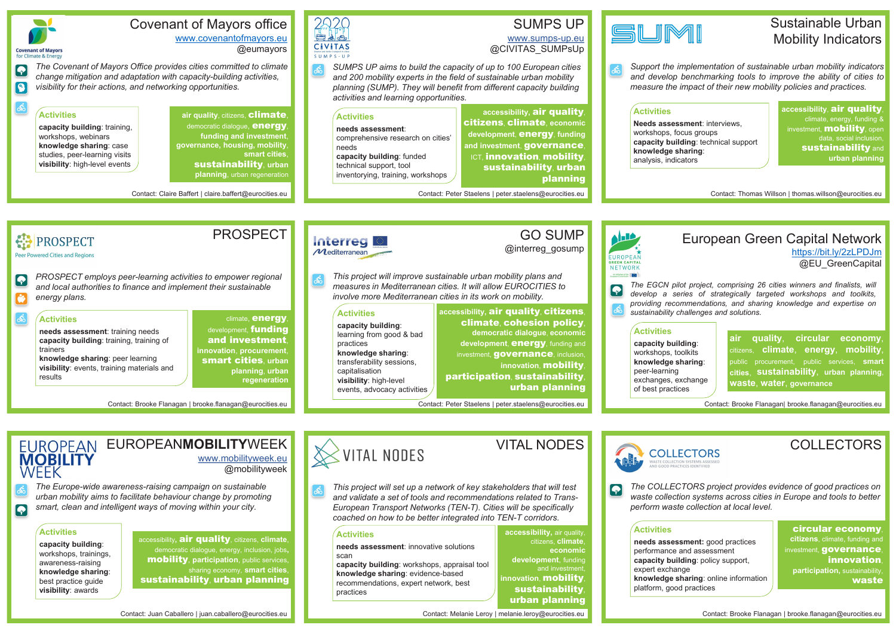# EUROPEAN EUROPEANMOBILITYWEEK www.mobilityweek.eu

@mobilityweek

*The Europe-wide awareness-raising campaign on sustainable urban mobility aims to facilitate behaviour change by promoting smart, clean and intelligent ways of moving within your city.*

Contact: Juan Caballero | juan.caballero@eurocities.eu

# **EXPITAL NODES**

accessibility**,** air quality, citizens, **climate**, democratic dialogue, energy, inclusion, jobs**,** mobility, **participation**, public services, sharing economy, **smart cities**, sustainability, urban planning

#### **Activities**

ය්

 $\overline{\bullet}$ 

**capacity building**: workshops, trainings, awareness-raising **knowledge sharing**: best practice guide **visibility**: awards

**air quality**, **circular economy**, citizens, **climate**, **energy**, **mobility**, public procurement, public services, **smart cities**, **sustainability**, **urban planning**, **waste**, **water**, **governance**

**knowledge sharing**: exchanges, exchange

European Green Capital Network https://bit.ly/2zLPDJm @EU\_GreenCapital

 $\delta$ *This project will set up a network of key stakeholders that will test and validate a set of tools and recommendations related to Trans-European Transport Networks (TEN-T). Cities will be specifically coached on how to be better integrated into TEN-T corridors.*

*The EGCN pilot project, comprising 26 cities winners and finalists, will develop a series of strategically targeted workshops and toolkits, providing recommendations, and sharing knowledge and expertise on sustainability challenges and solutions.*

**development**, funding and investment

Contact: Brooke Flanagan| brooke.flanagan@eurocities.eu

# Sustainable Urban Mobility Indicators

*Support the implementation of sustainable urban mobility indicators and develop benchmarking tools to improve the ability of cities to measure the impact of their new mobility policies and practices.*

Contact: Thomas Willson | thomas.willson@eurocities.eu

**accessibility**, air quality, climate, energy, funding & investment. **mobility**, open data, social inclusion, **sustainability and urban planning**

**Needs assessment**: interviews, workshops, focus groups **capacity building**: technical support **knowledge sharing**:

**accessibility,** air quality,

citizens, **climate**, **economic** 



**innovation**, mobility, sustainability, urban planning

#### **Activities**

**needs assessment**: innovative solutions scan

**capacity building**: workshops, appraisal tool **knowledge sharing**: evidence-based recommendations, expert network, best practices



# **MOBILITY** WEEK

# COLLECTORS

*The COLLECTORS project provides evidence of good practices on waste collection systems across cities in Europe and tools to better perform waste collection at local level.*

Contact: Brooke Flanagan | brooke.flanagan@eurocities.eu

circular economy, **citizens**, climate, funding and nvestment. **governance**. innovation, **participation,** sustainability, waste

#### **Activities**

**needs assessment:** good practices performance and assessment **capacity building**: policy support, expert exchange **knowledge sharing**: online information platform, good practices